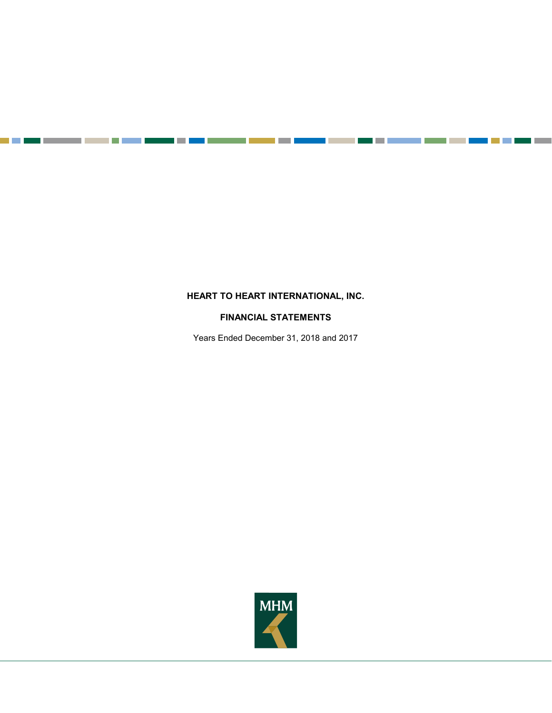**The Contract** 

a sa B

m in

## FINANCIAL STATEMENTS

Years Ended December 31, 2018 and 2017

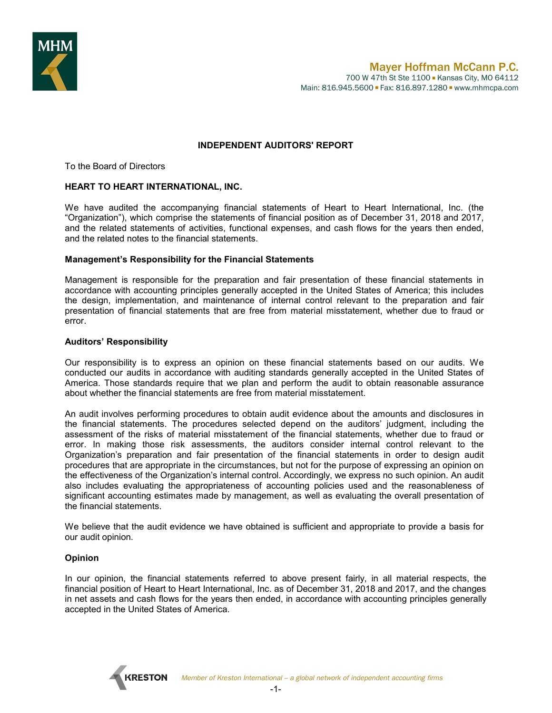

## INDEPENDENT AUDITORS' REPORT

To the Board of Directors

## HEART TO HEART INTERNATIONAL, INC.

We have audited the accompanying financial statements of Heart to Heart International, Inc. (the "Organization"), which comprise the statements of financial position as of December 31, 2018 and 2017, and the related statements of activities, functional expenses, and cash flows for the years then ended, and the related notes to the financial statements.

## Management's Responsibility for the Financial Statements

Management is responsible for the preparation and fair presentation of these financial statements in accordance with accounting principles generally accepted in the United States of America; this includes the design, implementation, and maintenance of internal control relevant to the preparation and fair presentation of financial statements that are free from material misstatement, whether due to fraud or error.

### Auditors' Responsibility

Our responsibility is to express an opinion on these financial statements based on our audits. We conducted our audits in accordance with auditing standards generally accepted in the United States of America. Those standards require that we plan and perform the audit to obtain reasonable assurance about whether the financial statements are free from material misstatement.

An audit involves performing procedures to obtain audit evidence about the amounts and disclosures in the financial statements. The procedures selected depend on the auditors' judgment, including the assessment of the risks of material misstatement of the financial statements, whether due to fraud or error. In making those risk assessments, the auditors consider internal control relevant to the Organization's preparation and fair presentation of the financial statements in order to design audit procedures that are appropriate in the circumstances, but not for the purpose of expressing an opinion on the effectiveness of the Organization's internal control. Accordingly, we express no such opinion. An audit also includes evaluating the appropriateness of accounting policies used and the reasonableness of significant accounting estimates made by management, as well as evaluating the overall presentation of the financial statements.

We believe that the audit evidence we have obtained is sufficient and appropriate to provide a basis for our audit opinion.

### Opinion

In our opinion, the financial statements referred to above present fairly, in all material respects, the financial position of Heart to Heart International, Inc. as of December 31, 2018 and 2017, and the changes in net assets and cash flows for the years then ended, in accordance with accounting principles generally accepted in the United States of America.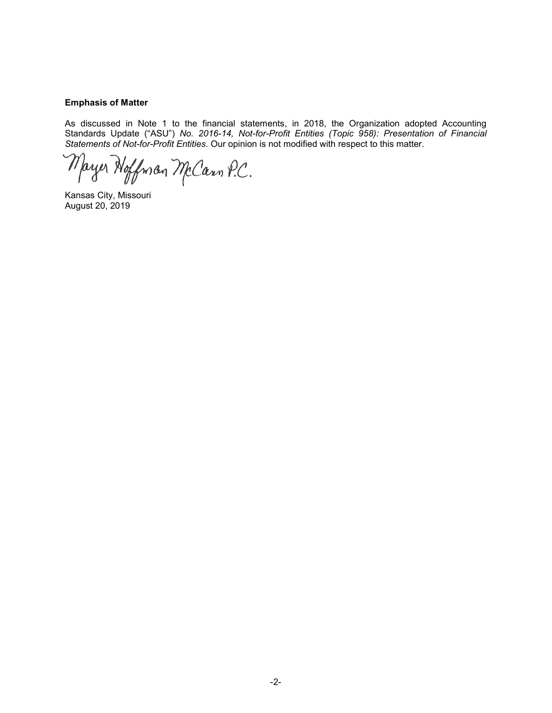## Emphasis of Matter

As discussed in Note 1 to the financial statements, in 2018, the Organization adopted Accounting Standards Update ("ASU") No. 2016-14, Not-for-Profit Entities (Topic 958): Presentation of Financial Statements of Not-for-Profit Entities. Our opinion is not modified with respect to this matter.

Mayer Hoffman McCann P.C.

Kansas City, Missouri August 20, 2019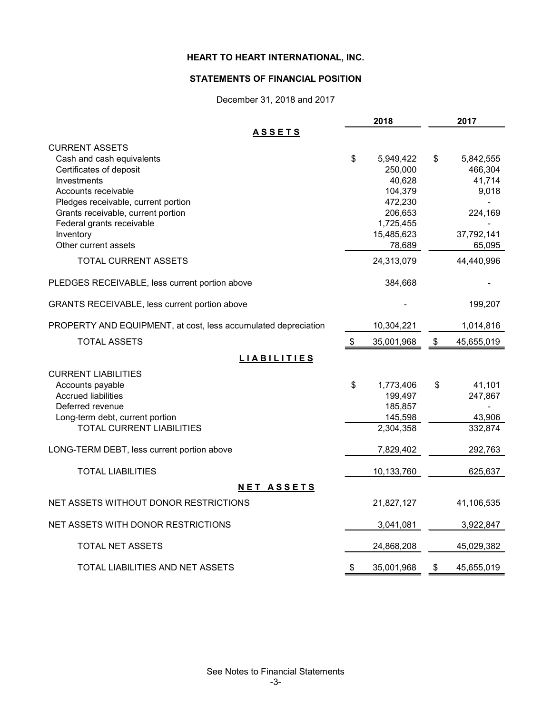# STATEMENTS OF FINANCIAL POSITION

December 31, 2018 and 2017

|                                                                | 2018             | 2017             |
|----------------------------------------------------------------|------------------|------------------|
| <b>ASSETS</b>                                                  |                  |                  |
| <b>CURRENT ASSETS</b>                                          |                  |                  |
| Cash and cash equivalents                                      | \$<br>5,949,422  | \$<br>5,842,555  |
| Certificates of deposit                                        | 250,000          | 466,304          |
| Investments                                                    | 40,628           | 41,714           |
| Accounts receivable                                            | 104,379          | 9,018            |
| Pledges receivable, current portion                            | 472,230          |                  |
| Grants receivable, current portion                             | 206,653          | 224,169          |
| Federal grants receivable                                      | 1,725,455        |                  |
| Inventory                                                      | 15,485,623       | 37,792,141       |
| Other current assets                                           | 78,689           | 65,095           |
| TOTAL CURRENT ASSETS                                           | 24,313,079       | 44,440,996       |
| PLEDGES RECEIVABLE, less current portion above                 | 384,668          |                  |
| GRANTS RECEIVABLE, less current portion above                  |                  | 199,207          |
| PROPERTY AND EQUIPMENT, at cost, less accumulated depreciation | 10,304,221       | 1,014,816        |
| <b>TOTAL ASSETS</b>                                            | \$<br>35,001,968 | \$<br>45,655,019 |
| <b>LIABILITIES</b>                                             |                  |                  |
| <b>CURRENT LIABILITIES</b>                                     |                  |                  |
| Accounts payable                                               | \$<br>1,773,406  | \$<br>41,101     |
| <b>Accrued liabilities</b>                                     | 199,497          | 247,867          |
| Deferred revenue                                               | 185,857          |                  |
| Long-term debt, current portion                                | 145,598          | 43,906           |
| <b>TOTAL CURRENT LIABILITIES</b>                               | 2,304,358        | 332,874          |
|                                                                |                  |                  |
| LONG-TERM DEBT, less current portion above                     | 7,829,402        | 292,763          |
| <b>TOTAL LIABILITIES</b>                                       | 10,133,760       | 625,637          |
| <b>NET ASSETS</b>                                              |                  |                  |
| NET ASSETS WITHOUT DONOR RESTRICTIONS                          | 21,827,127       | 41,106,535       |
| NET ASSETS WITH DONOR RESTRICTIONS                             | 3,041,081        | 3,922,847        |
| <b>TOTAL NET ASSETS</b>                                        | 24,868,208       | 45,029,382       |
| TOTAL LIABILITIES AND NET ASSETS                               | \$<br>35,001,968 | \$<br>45,655,019 |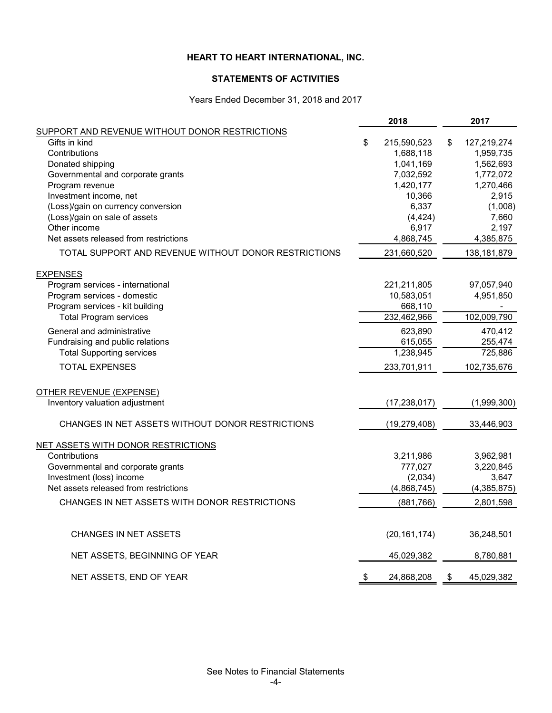## STATEMENTS OF ACTIVITIES

| HEART TO HEART INTERNATIONAL, INC.                              |                                |      |                          |
|-----------------------------------------------------------------|--------------------------------|------|--------------------------|
| <b>STATEMENTS OF ACTIVITIES</b>                                 |                                |      |                          |
| Years Ended December 31, 2018 and 2017                          |                                |      |                          |
|                                                                 | 2018                           | 2017 |                          |
| SUPPORT AND REVENUE WITHOUT DONOR RESTRICTIONS<br>Gifts in kind |                                |      |                          |
| Contributions                                                   | 215,590,523<br>\$<br>1,688,118 | \$   | 127,219,274<br>1,959,735 |
| Donated shipping                                                | 1,041,169                      |      | 1,562,693                |
| Governmental and corporate grants                               | 7,032,592                      |      | 1,772,072                |
| Program revenue                                                 | 1,420,177                      |      | 1,270,466                |
| Investment income, net                                          | 10,366                         |      | 2,915                    |
| (Loss)/gain on currency conversion                              | 6,337                          |      | (1,008)                  |
| (Loss)/gain on sale of assets                                   | (4, 424)                       |      | 7,660                    |
| Other income                                                    | 6,917                          |      | 2,197                    |
| Net assets released from restrictions                           | 4,868,745                      |      | 4,385,875                |
| TOTAL SUPPORT AND REVENUE WITHOUT DONOR RESTRICTIONS            | 231,660,520                    |      | 138,181,879              |
| <b>EXPENSES</b>                                                 |                                |      |                          |
| Program services - international                                | 221,211,805                    |      | 97,057,940               |
| Program services - domestic                                     | 10,583,051                     |      | 4,951,850                |
| Program services - kit building                                 | 668,110                        |      |                          |
| <b>Total Program services</b>                                   | 232,462,966                    |      | 102,009,790              |
| General and administrative                                      | 623,890                        |      | 470,412                  |
| Fundraising and public relations                                | 615,055                        |      | 255,474                  |
| <b>Total Supporting services</b>                                | 1,238,945                      |      | 725,886                  |
| <b>TOTAL EXPENSES</b>                                           | 233,701,911                    |      | 102,735,676              |
| <b>OTHER REVENUE (EXPENSE)</b>                                  |                                |      |                          |
| Inventory valuation adjustment                                  | (17, 238, 017)                 |      | (1,999,300)              |
| CHANGES IN NET ASSETS WITHOUT DONOR RESTRICTIONS                | (19, 279, 408)                 |      | 33,446,903               |
| NET ASSETS WITH DONOR RESTRICTIONS                              |                                |      |                          |
| Contributions                                                   | 3,211,986                      |      | 3,962,981                |
| Governmental and corporate grants                               | 777,027                        |      | 3,220,845                |
| Investment (loss) income                                        | (2,034)                        |      | 3,647                    |
| Net assets released from restrictions                           | (4,868,745)                    |      | (4,385,875)              |
| CHANGES IN NET ASSETS WITH DONOR RESTRICTIONS                   | (881, 766)                     |      | 2,801,598                |
| <b>CHANGES IN NET ASSETS</b>                                    | (20, 161, 174)                 |      | 36,248,501               |
| NET ASSETS, BEGINNING OF YEAR                                   | 45,029,382                     |      | 8,780,881                |
| NET ASSETS, END OF YEAR                                         | 24,868,208                     |      | 45,029,382               |
|                                                                 | \$                             | \$   |                          |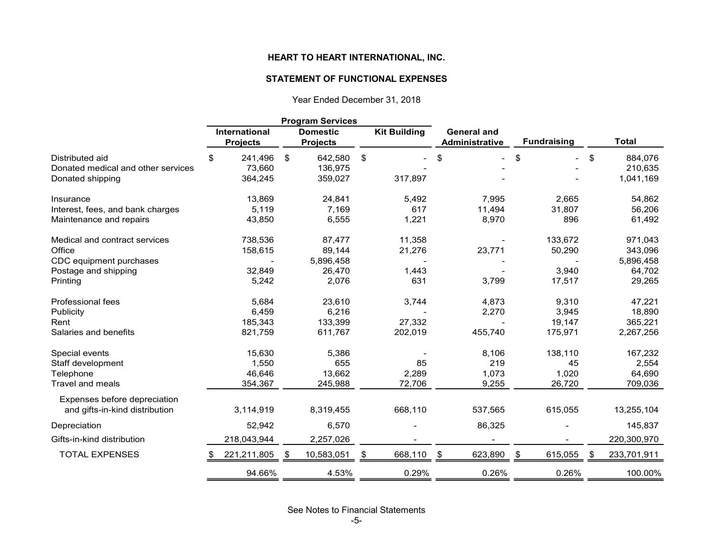# STATEMENT OF FUNCTIONAL EXPENSES

| STATEMENT OF FUNCTIONAL EXPENSES<br>Year Ended December 31, 2018<br><b>Program Services</b><br><b>Kit Building</b><br>International<br><b>Domestic</b><br><b>General and</b><br><b>Total</b><br><b>Fundraising</b><br><b>Projects</b><br><b>Projects</b><br>Administrative<br>Distributed aid<br>241,496 \$<br>642,580<br>\$<br>$-$ \$<br>884,076<br>\$<br>\$<br>\$<br>$\blacksquare$<br>$\overline{\phantom{0}}$<br>73,660<br>136,975<br>210,635<br>Donated medical and other services<br>$\blacksquare$<br>364,245<br>359,027<br>317,897<br>1,041,169<br>Donated shipping<br>$\blacksquare$<br>7,995<br>2,665<br>54,862<br>13,869<br>24,841<br>5,492<br>Insurance<br>Interest, fees, and bank charges<br>5,119<br>7,169<br>617<br>11,494<br>31,807<br>56,206<br>6,555<br>1,221<br>8,970<br>896<br>61,492<br>Maintenance and repairs<br>43,850<br>738,536<br>11,358<br>133,672<br>971,043<br>Medical and contract services<br>87,477<br>Office<br>158,615<br>21,276<br>23,771<br>50,290<br>343,096<br>89,144<br>CDC equipment purchases<br>5,896,458<br>5,896,458<br>$\overline{a}$<br>Postage and shipping<br>32,849<br>26,470<br>1,443<br>3,940<br>64,702<br>$\blacksquare$<br>5,242<br>2,076<br>631<br>3,799<br>29,265<br>Printing<br>17,517<br>Professional fees<br>5,684<br>23,610<br>3,744<br>4,873<br>9,310<br>47,221<br>Publicity<br>6,216<br>2,270<br>6,459<br>$\overline{\phantom{a}}$<br>3,945<br>18,890<br>185,343<br>133,399<br>27,332<br>19,147<br>365,221<br>Rent<br>Salaries and benefits<br>821,759<br>611,767<br>202,019<br>455,740<br>175,971<br>2,267,256<br>15,630<br>5,386<br>8,106<br>138,110<br>167,232<br>Special events<br>219<br>Staff development<br>1,550<br>655<br>85<br>2,554<br>45<br>46,646<br>2,289<br>1,073<br>64,690<br>Telephone<br>13,662<br>1,020<br>Travel and meals<br>354,367<br>245,988<br>72,706<br>9,255<br>26,720<br>709,036<br>Expenses before depreciation<br>3,114,919<br>8,319,455<br>668,110<br>537,565<br>615,055<br>13,255,104<br>and gifts-in-kind distribution<br>52,942<br>6,570<br>86,325<br>145,837<br>Depreciation<br>2,257,026<br>Gifts-in-kind distribution<br>218,043,944<br>220,300,970<br>$\overline{\phantom{a}}$<br>$\overline{\phantom{a}}$<br><b>TOTAL EXPENSES</b><br>668,110 \$<br>623,890<br>221,211,805 \$<br>10,583,051<br>\$<br>\$<br>615,055<br>233, 701, 911<br>- \$<br>94.66%<br>4.53%<br>0.29%<br>0.26%<br>0.26%<br>100.00% |  | HEART TO HEART INTERNATIONAL, INC. |  |  |
|------------------------------------------------------------------------------------------------------------------------------------------------------------------------------------------------------------------------------------------------------------------------------------------------------------------------------------------------------------------------------------------------------------------------------------------------------------------------------------------------------------------------------------------------------------------------------------------------------------------------------------------------------------------------------------------------------------------------------------------------------------------------------------------------------------------------------------------------------------------------------------------------------------------------------------------------------------------------------------------------------------------------------------------------------------------------------------------------------------------------------------------------------------------------------------------------------------------------------------------------------------------------------------------------------------------------------------------------------------------------------------------------------------------------------------------------------------------------------------------------------------------------------------------------------------------------------------------------------------------------------------------------------------------------------------------------------------------------------------------------------------------------------------------------------------------------------------------------------------------------------------------------------------------------------------------------------------------------------------------------------------------------------------------------------------------------------------------------------------------------------------------------------------------------------------------------------------------------------------------------------------------------------------------------------------------------------------------------------------------------------------------------------------|--|------------------------------------|--|--|
|                                                                                                                                                                                                                                                                                                                                                                                                                                                                                                                                                                                                                                                                                                                                                                                                                                                                                                                                                                                                                                                                                                                                                                                                                                                                                                                                                                                                                                                                                                                                                                                                                                                                                                                                                                                                                                                                                                                                                                                                                                                                                                                                                                                                                                                                                                                                                                                                            |  |                                    |  |  |
|                                                                                                                                                                                                                                                                                                                                                                                                                                                                                                                                                                                                                                                                                                                                                                                                                                                                                                                                                                                                                                                                                                                                                                                                                                                                                                                                                                                                                                                                                                                                                                                                                                                                                                                                                                                                                                                                                                                                                                                                                                                                                                                                                                                                                                                                                                                                                                                                            |  |                                    |  |  |
|                                                                                                                                                                                                                                                                                                                                                                                                                                                                                                                                                                                                                                                                                                                                                                                                                                                                                                                                                                                                                                                                                                                                                                                                                                                                                                                                                                                                                                                                                                                                                                                                                                                                                                                                                                                                                                                                                                                                                                                                                                                                                                                                                                                                                                                                                                                                                                                                            |  |                                    |  |  |
|                                                                                                                                                                                                                                                                                                                                                                                                                                                                                                                                                                                                                                                                                                                                                                                                                                                                                                                                                                                                                                                                                                                                                                                                                                                                                                                                                                                                                                                                                                                                                                                                                                                                                                                                                                                                                                                                                                                                                                                                                                                                                                                                                                                                                                                                                                                                                                                                            |  |                                    |  |  |
|                                                                                                                                                                                                                                                                                                                                                                                                                                                                                                                                                                                                                                                                                                                                                                                                                                                                                                                                                                                                                                                                                                                                                                                                                                                                                                                                                                                                                                                                                                                                                                                                                                                                                                                                                                                                                                                                                                                                                                                                                                                                                                                                                                                                                                                                                                                                                                                                            |  |                                    |  |  |
|                                                                                                                                                                                                                                                                                                                                                                                                                                                                                                                                                                                                                                                                                                                                                                                                                                                                                                                                                                                                                                                                                                                                                                                                                                                                                                                                                                                                                                                                                                                                                                                                                                                                                                                                                                                                                                                                                                                                                                                                                                                                                                                                                                                                                                                                                                                                                                                                            |  |                                    |  |  |
|                                                                                                                                                                                                                                                                                                                                                                                                                                                                                                                                                                                                                                                                                                                                                                                                                                                                                                                                                                                                                                                                                                                                                                                                                                                                                                                                                                                                                                                                                                                                                                                                                                                                                                                                                                                                                                                                                                                                                                                                                                                                                                                                                                                                                                                                                                                                                                                                            |  |                                    |  |  |
|                                                                                                                                                                                                                                                                                                                                                                                                                                                                                                                                                                                                                                                                                                                                                                                                                                                                                                                                                                                                                                                                                                                                                                                                                                                                                                                                                                                                                                                                                                                                                                                                                                                                                                                                                                                                                                                                                                                                                                                                                                                                                                                                                                                                                                                                                                                                                                                                            |  |                                    |  |  |
|                                                                                                                                                                                                                                                                                                                                                                                                                                                                                                                                                                                                                                                                                                                                                                                                                                                                                                                                                                                                                                                                                                                                                                                                                                                                                                                                                                                                                                                                                                                                                                                                                                                                                                                                                                                                                                                                                                                                                                                                                                                                                                                                                                                                                                                                                                                                                                                                            |  |                                    |  |  |
|                                                                                                                                                                                                                                                                                                                                                                                                                                                                                                                                                                                                                                                                                                                                                                                                                                                                                                                                                                                                                                                                                                                                                                                                                                                                                                                                                                                                                                                                                                                                                                                                                                                                                                                                                                                                                                                                                                                                                                                                                                                                                                                                                                                                                                                                                                                                                                                                            |  |                                    |  |  |
|                                                                                                                                                                                                                                                                                                                                                                                                                                                                                                                                                                                                                                                                                                                                                                                                                                                                                                                                                                                                                                                                                                                                                                                                                                                                                                                                                                                                                                                                                                                                                                                                                                                                                                                                                                                                                                                                                                                                                                                                                                                                                                                                                                                                                                                                                                                                                                                                            |  |                                    |  |  |
|                                                                                                                                                                                                                                                                                                                                                                                                                                                                                                                                                                                                                                                                                                                                                                                                                                                                                                                                                                                                                                                                                                                                                                                                                                                                                                                                                                                                                                                                                                                                                                                                                                                                                                                                                                                                                                                                                                                                                                                                                                                                                                                                                                                                                                                                                                                                                                                                            |  |                                    |  |  |
|                                                                                                                                                                                                                                                                                                                                                                                                                                                                                                                                                                                                                                                                                                                                                                                                                                                                                                                                                                                                                                                                                                                                                                                                                                                                                                                                                                                                                                                                                                                                                                                                                                                                                                                                                                                                                                                                                                                                                                                                                                                                                                                                                                                                                                                                                                                                                                                                            |  |                                    |  |  |
|                                                                                                                                                                                                                                                                                                                                                                                                                                                                                                                                                                                                                                                                                                                                                                                                                                                                                                                                                                                                                                                                                                                                                                                                                                                                                                                                                                                                                                                                                                                                                                                                                                                                                                                                                                                                                                                                                                                                                                                                                                                                                                                                                                                                                                                                                                                                                                                                            |  |                                    |  |  |
|                                                                                                                                                                                                                                                                                                                                                                                                                                                                                                                                                                                                                                                                                                                                                                                                                                                                                                                                                                                                                                                                                                                                                                                                                                                                                                                                                                                                                                                                                                                                                                                                                                                                                                                                                                                                                                                                                                                                                                                                                                                                                                                                                                                                                                                                                                                                                                                                            |  |                                    |  |  |
|                                                                                                                                                                                                                                                                                                                                                                                                                                                                                                                                                                                                                                                                                                                                                                                                                                                                                                                                                                                                                                                                                                                                                                                                                                                                                                                                                                                                                                                                                                                                                                                                                                                                                                                                                                                                                                                                                                                                                                                                                                                                                                                                                                                                                                                                                                                                                                                                            |  |                                    |  |  |
|                                                                                                                                                                                                                                                                                                                                                                                                                                                                                                                                                                                                                                                                                                                                                                                                                                                                                                                                                                                                                                                                                                                                                                                                                                                                                                                                                                                                                                                                                                                                                                                                                                                                                                                                                                                                                                                                                                                                                                                                                                                                                                                                                                                                                                                                                                                                                                                                            |  |                                    |  |  |
|                                                                                                                                                                                                                                                                                                                                                                                                                                                                                                                                                                                                                                                                                                                                                                                                                                                                                                                                                                                                                                                                                                                                                                                                                                                                                                                                                                                                                                                                                                                                                                                                                                                                                                                                                                                                                                                                                                                                                                                                                                                                                                                                                                                                                                                                                                                                                                                                            |  |                                    |  |  |
|                                                                                                                                                                                                                                                                                                                                                                                                                                                                                                                                                                                                                                                                                                                                                                                                                                                                                                                                                                                                                                                                                                                                                                                                                                                                                                                                                                                                                                                                                                                                                                                                                                                                                                                                                                                                                                                                                                                                                                                                                                                                                                                                                                                                                                                                                                                                                                                                            |  |                                    |  |  |
|                                                                                                                                                                                                                                                                                                                                                                                                                                                                                                                                                                                                                                                                                                                                                                                                                                                                                                                                                                                                                                                                                                                                                                                                                                                                                                                                                                                                                                                                                                                                                                                                                                                                                                                                                                                                                                                                                                                                                                                                                                                                                                                                                                                                                                                                                                                                                                                                            |  |                                    |  |  |
|                                                                                                                                                                                                                                                                                                                                                                                                                                                                                                                                                                                                                                                                                                                                                                                                                                                                                                                                                                                                                                                                                                                                                                                                                                                                                                                                                                                                                                                                                                                                                                                                                                                                                                                                                                                                                                                                                                                                                                                                                                                                                                                                                                                                                                                                                                                                                                                                            |  |                                    |  |  |
|                                                                                                                                                                                                                                                                                                                                                                                                                                                                                                                                                                                                                                                                                                                                                                                                                                                                                                                                                                                                                                                                                                                                                                                                                                                                                                                                                                                                                                                                                                                                                                                                                                                                                                                                                                                                                                                                                                                                                                                                                                                                                                                                                                                                                                                                                                                                                                                                            |  |                                    |  |  |
|                                                                                                                                                                                                                                                                                                                                                                                                                                                                                                                                                                                                                                                                                                                                                                                                                                                                                                                                                                                                                                                                                                                                                                                                                                                                                                                                                                                                                                                                                                                                                                                                                                                                                                                                                                                                                                                                                                                                                                                                                                                                                                                                                                                                                                                                                                                                                                                                            |  |                                    |  |  |
|                                                                                                                                                                                                                                                                                                                                                                                                                                                                                                                                                                                                                                                                                                                                                                                                                                                                                                                                                                                                                                                                                                                                                                                                                                                                                                                                                                                                                                                                                                                                                                                                                                                                                                                                                                                                                                                                                                                                                                                                                                                                                                                                                                                                                                                                                                                                                                                                            |  |                                    |  |  |
|                                                                                                                                                                                                                                                                                                                                                                                                                                                                                                                                                                                                                                                                                                                                                                                                                                                                                                                                                                                                                                                                                                                                                                                                                                                                                                                                                                                                                                                                                                                                                                                                                                                                                                                                                                                                                                                                                                                                                                                                                                                                                                                                                                                                                                                                                                                                                                                                            |  |                                    |  |  |
|                                                                                                                                                                                                                                                                                                                                                                                                                                                                                                                                                                                                                                                                                                                                                                                                                                                                                                                                                                                                                                                                                                                                                                                                                                                                                                                                                                                                                                                                                                                                                                                                                                                                                                                                                                                                                                                                                                                                                                                                                                                                                                                                                                                                                                                                                                                                                                                                            |  |                                    |  |  |
|                                                                                                                                                                                                                                                                                                                                                                                                                                                                                                                                                                                                                                                                                                                                                                                                                                                                                                                                                                                                                                                                                                                                                                                                                                                                                                                                                                                                                                                                                                                                                                                                                                                                                                                                                                                                                                                                                                                                                                                                                                                                                                                                                                                                                                                                                                                                                                                                            |  |                                    |  |  |

See Notes to Financial Statements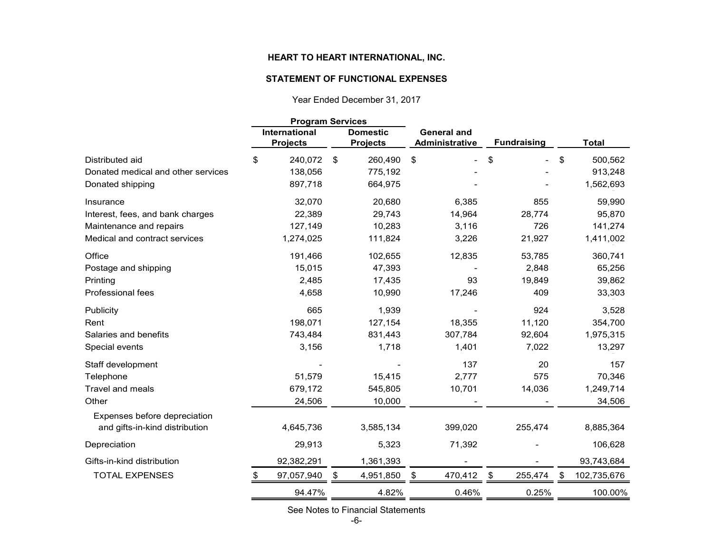## STATEMENT OF FUNCTIONAL EXPENSES

Year Ended December 31, 2017

|                                                                | <b>Program Services</b>          |                           |                                            |                                         |                |                    |               |              |  |
|----------------------------------------------------------------|----------------------------------|---------------------------|--------------------------------------------|-----------------------------------------|----------------|--------------------|---------------|--------------|--|
|                                                                | International<br><b>Projects</b> |                           | <b>Domestic</b><br><b>Projects</b>         | <b>General and</b><br>Administrative    |                | <b>Fundraising</b> |               | <b>Total</b> |  |
| Distributed aid                                                | \$<br>240,072 \$                 |                           | 260,490 \$                                 | $\blacksquare$                          | $\mathfrak{S}$ | $\sim$             | -\$           | 500,562      |  |
| Donated medical and other services                             | 138,056                          |                           | 775,192                                    |                                         |                |                    |               | 913,248      |  |
| Donated shipping                                               | 897,718                          |                           | 664,975                                    |                                         |                |                    |               | 1,562,693    |  |
| Insurance                                                      | 32,070                           |                           | 20,680                                     | 6,385                                   |                | 855                |               | 59,990       |  |
| Interest, fees, and bank charges                               | 22,389                           |                           | 29,743                                     | 14,964                                  |                | 28,774             |               | 95,870       |  |
| Maintenance and repairs                                        | 127,149                          |                           | 10,283                                     | 3,116                                   |                | 726                |               | 141,274      |  |
| Medical and contract services                                  | 1,274,025                        |                           | 111,824                                    | 3,226                                   |                | 21,927             |               | 1,411,002    |  |
| Office                                                         | 191,466                          |                           | 102,655                                    | 12,835                                  |                | 53,785             |               | 360,741      |  |
| Postage and shipping                                           | 15,015                           |                           | 47,393                                     |                                         |                | 2,848              |               | 65,256       |  |
| Printing                                                       | 2,485                            |                           | 17,435                                     | 93                                      |                | 19,849             |               | 39,862       |  |
| Professional fees                                              | 4,658                            |                           | 10,990                                     | 17,246                                  |                | 409                |               | 33,303       |  |
| Publicity                                                      | 665                              |                           | 1,939                                      |                                         |                | 924                |               | 3,528        |  |
| Rent                                                           | 198,071                          |                           | 127,154                                    | 18,355                                  |                | 11,120             |               | 354,700      |  |
| Salaries and benefits                                          | 743,484                          |                           | 831,443                                    | 307,784                                 |                | 92,604             |               | 1,975,315    |  |
| Special events                                                 | 3,156                            |                           | 1,718                                      | 1,401                                   |                | 7,022              |               | 13,297       |  |
| Staff development                                              |                                  |                           |                                            | 137                                     |                | 20                 |               | 157          |  |
| Telephone                                                      | 51,579                           |                           | 15,415                                     | 2,777                                   |                | 575                |               | 70,346       |  |
| Travel and meals                                               | 679,172                          |                           | 545,805                                    | 10,701                                  |                | 14,036             |               | 1,249,714    |  |
| Other                                                          | 24,506                           |                           | 10,000                                     |                                         |                |                    |               | 34,506       |  |
| Expenses before depreciation<br>and gifts-in-kind distribution | 4,645,736                        |                           | 3,585,134                                  | 399,020                                 |                | 255,474            |               | 8,885,364    |  |
| Depreciation                                                   | 29,913                           |                           | 5,323                                      | 71,392                                  |                |                    |               | 106,628      |  |
| Gifts-in-kind distribution                                     | 92,382,291                       |                           | 1,361,393                                  |                                         |                |                    |               | 93,743,684   |  |
| <b>TOTAL EXPENSES</b>                                          | 97,057,940                       | $\boldsymbol{\mathsf{S}}$ | 4,951,850                                  | $\boldsymbol{\mathsf{S}}$<br>470,412 \$ |                | 255,474            | $\frac{1}{2}$ | 102,735,676  |  |
|                                                                | 94.47%                           |                           | 4.82%                                      | 0.46%                                   |                | 0.25%              |               | 100.00%      |  |
|                                                                |                                  |                           | See Notes to Financial Statements<br>$-6-$ |                                         |                |                    |               |              |  |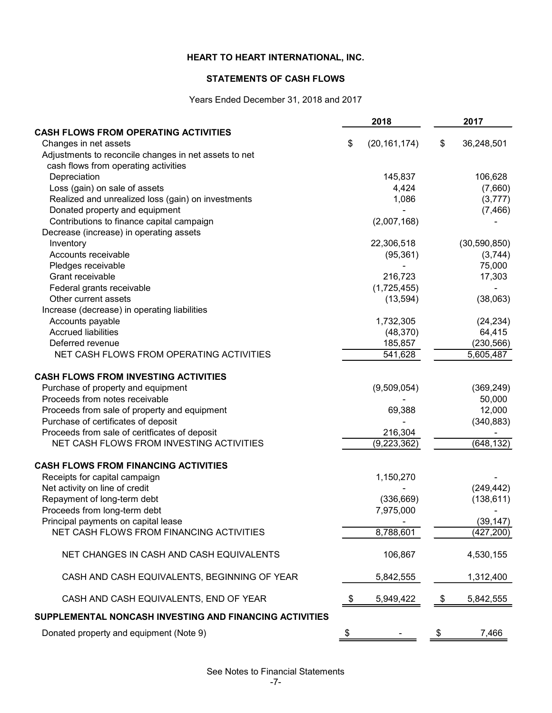## STATEMENTS OF CASH FLOWS

Years Ended December 31, 2018 and 2017

|                                                                                               | 2018           |    | 2017           |
|-----------------------------------------------------------------------------------------------|----------------|----|----------------|
| <b>CASH FLOWS FROM OPERATING ACTIVITIES</b>                                                   |                |    |                |
| Changes in net assets                                                                         | (20, 161, 174) | S  | 36,248,501     |
| Adjustments to reconcile changes in net assets to net<br>cash flows from operating activities |                |    |                |
| Depreciation                                                                                  | 145,837        |    | 106,628        |
| Loss (gain) on sale of assets                                                                 | 4,424          |    | (7,660)        |
| Realized and unrealized loss (gain) on investments                                            | 1,086          |    | (3,777)        |
| Donated property and equipment                                                                |                |    | (7, 466)       |
| Contributions to finance capital campaign                                                     | (2,007,168)    |    |                |
| Decrease (increase) in operating assets                                                       |                |    |                |
| Inventory                                                                                     | 22,306,518     |    | (30, 590, 850) |
| Accounts receivable                                                                           | (95, 361)      |    |                |
|                                                                                               |                |    | (3,744)        |
| Pledges receivable                                                                            |                |    | 75,000         |
| Grant receivable                                                                              | 216,723        |    | 17,303         |
| Federal grants receivable                                                                     | (1,725,455)    |    |                |
| Other current assets                                                                          | (13, 594)      |    | (38,063)       |
| Increase (decrease) in operating liabilities                                                  |                |    |                |
| Accounts payable                                                                              | 1,732,305      |    | (24, 234)      |
| <b>Accrued liabilities</b>                                                                    | (48, 370)      |    | 64,415         |
| Deferred revenue                                                                              | 185,857        |    | (230, 566)     |
| NET CASH FLOWS FROM OPERATING ACTIVITIES                                                      | 541,628        |    | 5,605,487      |
| <b>CASH FLOWS FROM INVESTING ACTIVITIES</b>                                                   |                |    |                |
| Purchase of property and equipment                                                            | (9,509,054)    |    | (369, 249)     |
| Proceeds from notes receivable                                                                |                |    | 50,000         |
| Proceeds from sale of property and equipment                                                  | 69,388         |    | 12,000         |
| Purchase of certificates of deposit                                                           |                |    | (340, 883)     |
| Proceeds from sale of ceritficates of deposit                                                 | 216,304        |    | ٠              |
| NET CASH FLOWS FROM INVESTING ACTIVITIES                                                      | (9, 223, 362)  |    | (648, 132)     |
| <b>CASH FLOWS FROM FINANCING ACTIVITIES</b>                                                   |                |    |                |
| Receipts for capital campaign                                                                 | 1,150,270      |    |                |
| Net activity on line of credit                                                                |                |    | (249, 442)     |
| Repayment of long-term debt                                                                   | (336, 669)     |    | (138, 611)     |
| Proceeds from long-term debt                                                                  | 7,975,000      |    |                |
| Principal payments on capital lease                                                           |                |    | (39, 147)      |
| NET CASH FLOWS FROM FINANCING ACTIVITIES                                                      | 8,788,601      |    | (427,200)      |
|                                                                                               |                |    |                |
| NET CHANGES IN CASH AND CASH EQUIVALENTS                                                      | 106,867        |    | 4,530,155      |
| CASH AND CASH EQUIVALENTS, BEGINNING OF YEAR                                                  | 5,842,555      |    | 1,312,400      |
| CASH AND CASH EQUIVALENTS, END OF YEAR                                                        | 5,949,422      |    | 5,842,555      |
| SUPPLEMENTAL NONCASH INVESTING AND FINANCING ACTIVITIES                                       |                |    |                |
|                                                                                               |                | \$ | 7,466          |
| Donated property and equipment (Note 9)                                                       |                |    |                |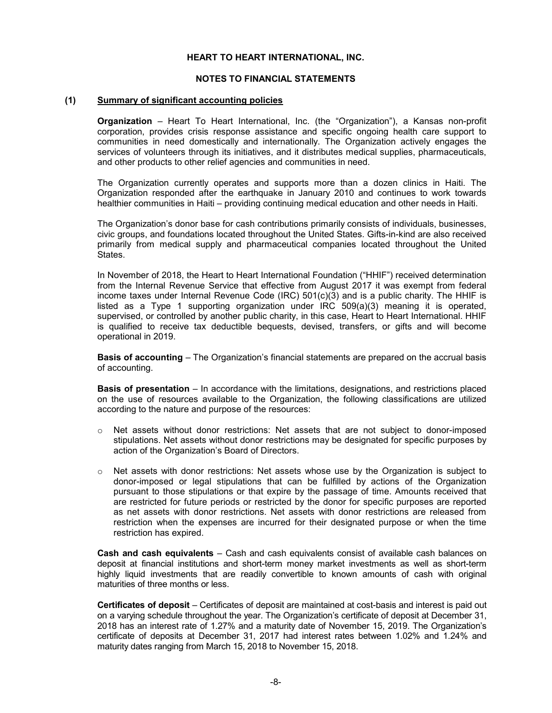#### NOTES TO FINANCIAL STATEMENTS

#### (1) Summary of significant accounting policies

Organization – Heart To Heart International, Inc. (the "Organization"), a Kansas non-profit corporation, provides crisis response assistance and specific ongoing health care support to communities in need domestically and internationally. The Organization actively engages the services of volunteers through its initiatives, and it distributes medical supplies, pharmaceuticals, and other products to other relief agencies and communities in need.

The Organization currently operates and supports more than a dozen clinics in Haiti. The Organization responded after the earthquake in January 2010 and continues to work towards healthier communities in Haiti – providing continuing medical education and other needs in Haiti.

The Organization's donor base for cash contributions primarily consists of individuals, businesses, civic groups, and foundations located throughout the United States. Gifts-in-kind are also received primarily from medical supply and pharmaceutical companies located throughout the United States.

In November of 2018, the Heart to Heart International Foundation ("HHIF") received determination from the Internal Revenue Service that effective from August 2017 it was exempt from federal income taxes under Internal Revenue Code (IRC) 501(c)(3) and is a public charity. The HHIF is listed as a Type 1 supporting organization under IRC  $509(a)(3)$  meaning it is operated, supervised, or controlled by another public charity, in this case, Heart to Heart International. HHIF is qualified to receive tax deductible bequests, devised, transfers, or gifts and will become operational in 2019.

**Basis of accounting** – The Organization's financial statements are prepared on the accrual basis of accounting.

Basis of presentation – In accordance with the limitations, designations, and restrictions placed on the use of resources available to the Organization, the following classifications are utilized according to the nature and purpose of the resources:

- $\circ$  Net assets without donor restrictions: Net assets that are not subject to donor-imposed stipulations. Net assets without donor restrictions may be designated for specific purposes by action of the Organization's Board of Directors.
- $\circ$  Net assets with donor restrictions: Net assets whose use by the Organization is subject to donor-imposed or legal stipulations that can be fulfilled by actions of the Organization pursuant to those stipulations or that expire by the passage of time. Amounts received that are restricted for future periods or restricted by the donor for specific purposes are reported as net assets with donor restrictions. Net assets with donor restrictions are released from restriction when the expenses are incurred for their designated purpose or when the time restriction has expired.

Cash and cash equivalents – Cash and cash equivalents consist of available cash balances on deposit at financial institutions and short-term money market investments as well as short-term highly liquid investments that are readily convertible to known amounts of cash with original maturities of three months or less.

Certificates of deposit – Certificates of deposit are maintained at cost-basis and interest is paid out on a varying schedule throughout the year. The Organization's certificate of deposit at December 31, 2018 has an interest rate of 1.27% and a maturity date of November 15, 2019. The Organization's certificate of deposits at December 31, 2017 had interest rates between 1.02% and 1.24% and maturity dates ranging from March 15, 2018 to November 15, 2018.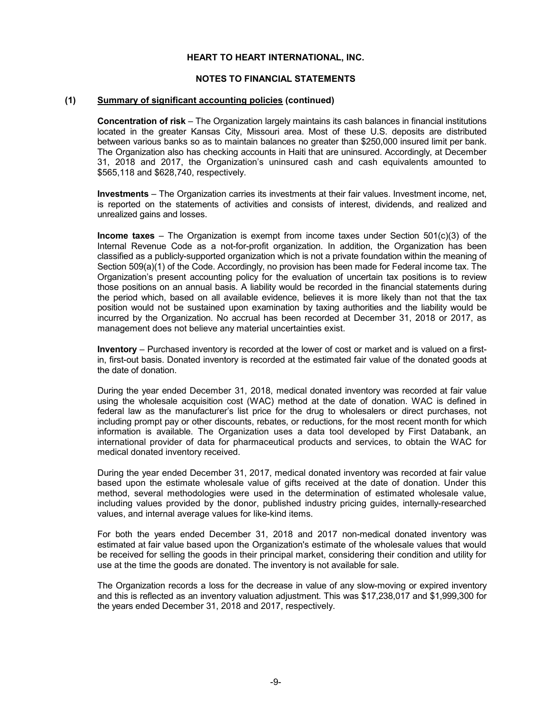#### NOTES TO FINANCIAL STATEMENTS

#### (1) Summary of significant accounting policies (continued)

Concentration of risk – The Organization largely maintains its cash balances in financial institutions located in the greater Kansas City, Missouri area. Most of these U.S. deposits are distributed between various banks so as to maintain balances no greater than \$250,000 insured limit per bank. The Organization also has checking accounts in Haiti that are uninsured. Accordingly, at December 31, 2018 and 2017, the Organization's uninsured cash and cash equivalents amounted to \$565,118 and \$628,740, respectively.

Investments – The Organization carries its investments at their fair values. Investment income, net, is reported on the statements of activities and consists of interest, dividends, and realized and unrealized gains and losses.

**Income taxes** – The Organization is exempt from income taxes under Section  $501(c)(3)$  of the Internal Revenue Code as a not-for-profit organization. In addition, the Organization has been classified as a publicly-supported organization which is not a private foundation within the meaning of Section 509(a)(1) of the Code. Accordingly, no provision has been made for Federal income tax. The Organization's present accounting policy for the evaluation of uncertain tax positions is to review those positions on an annual basis. A liability would be recorded in the financial statements during the period which, based on all available evidence, believes it is more likely than not that the tax position would not be sustained upon examination by taxing authorities and the liability would be incurred by the Organization. No accrual has been recorded at December 31, 2018 or 2017, as management does not believe any material uncertainties exist.

Inventory – Purchased inventory is recorded at the lower of cost or market and is valued on a firstin, first-out basis. Donated inventory is recorded at the estimated fair value of the donated goods at the date of donation.

During the year ended December 31, 2018, medical donated inventory was recorded at fair value using the wholesale acquisition cost (WAC) method at the date of donation. WAC is defined in federal law as the manufacturer's list price for the drug to wholesalers or direct purchases, not including prompt pay or other discounts, rebates, or reductions, for the most recent month for which information is available. The Organization uses a data tool developed by First Databank, an international provider of data for pharmaceutical products and services, to obtain the WAC for medical donated inventory received.

During the year ended December 31, 2017, medical donated inventory was recorded at fair value based upon the estimate wholesale value of gifts received at the date of donation. Under this method, several methodologies were used in the determination of estimated wholesale value, including values provided by the donor, published industry pricing guides, internally-researched values, and internal average values for like-kind items.

For both the years ended December 31, 2018 and 2017 non-medical donated inventory was estimated at fair value based upon the Organization's estimate of the wholesale values that would be received for selling the goods in their principal market, considering their condition and utility for use at the time the goods are donated. The inventory is not available for sale.

The Organization records a loss for the decrease in value of any slow-moving or expired inventory and this is reflected as an inventory valuation adjustment. This was \$17,238,017 and \$1,999,300 for the years ended December 31, 2018 and 2017, respectively.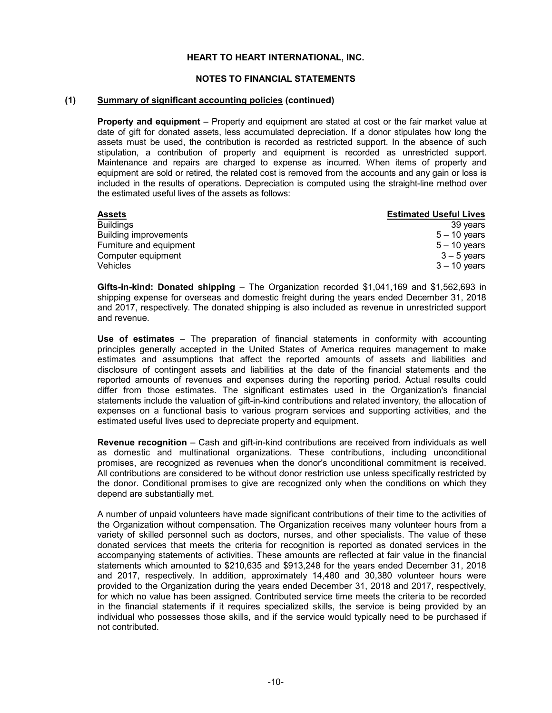#### NOTES TO FINANCIAL STATEMENTS

#### (1) Summary of significant accounting policies (continued)

Property and equipment – Property and equipment are stated at cost or the fair market value at date of gift for donated assets, less accumulated depreciation. If a donor stipulates how long the assets must be used, the contribution is recorded as restricted support. In the absence of such stipulation, a contribution of property and equipment is recorded as unrestricted support. Maintenance and repairs are charged to expense as incurred. When items of property and equipment are sold or retired, the related cost is removed from the accounts and any gain or loss is included in the results of operations. Depreciation is computed using the straight-line method over the estimated useful lives of the assets as follows:

| <b>Assets</b>           | <b>Estimated Useful Lives</b> |
|-------------------------|-------------------------------|
| <b>Buildings</b>        | 39 vears                      |
| Building improvements   | $5 - 10$ years                |
| Furniture and equipment | $5 - 10$ years                |
| Computer equipment      | $3 - 5$ years                 |
| <b>Vehicles</b>         | $3 - 10$ years                |

Gifts-in-kind: Donated shipping – The Organization recorded \$1,041,169 and \$1,562,693 in shipping expense for overseas and domestic freight during the years ended December 31, 2018 and 2017, respectively. The donated shipping is also included as revenue in unrestricted support and revenue.

Use of estimates – The preparation of financial statements in conformity with accounting principles generally accepted in the United States of America requires management to make estimates and assumptions that affect the reported amounts of assets and liabilities and disclosure of contingent assets and liabilities at the date of the financial statements and the reported amounts of revenues and expenses during the reporting period. Actual results could differ from those estimates. The significant estimates used in the Organization's financial statements include the valuation of gift-in-kind contributions and related inventory, the allocation of expenses on a functional basis to various program services and supporting activities, and the estimated useful lives used to depreciate property and equipment.

Revenue recognition – Cash and gift-in-kind contributions are received from individuals as well as domestic and multinational organizations. These contributions, including unconditional promises, are recognized as revenues when the donor's unconditional commitment is received. All contributions are considered to be without donor restriction use unless specifically restricted by the donor. Conditional promises to give are recognized only when the conditions on which they depend are substantially met.

A number of unpaid volunteers have made significant contributions of their time to the activities of the Organization without compensation. The Organization receives many volunteer hours from a variety of skilled personnel such as doctors, nurses, and other specialists. The value of these donated services that meets the criteria for recognition is reported as donated services in the accompanying statements of activities. These amounts are reflected at fair value in the financial statements which amounted to \$210,635 and \$913,248 for the years ended December 31, 2018 and 2017, respectively. In addition, approximately 14,480 and 30,380 volunteer hours were provided to the Organization during the years ended December 31, 2018 and 2017, respectively, for which no value has been assigned. Contributed service time meets the criteria to be recorded in the financial statements if it requires specialized skills, the service is being provided by an individual who possesses those skills, and if the service would typically need to be purchased if not contributed.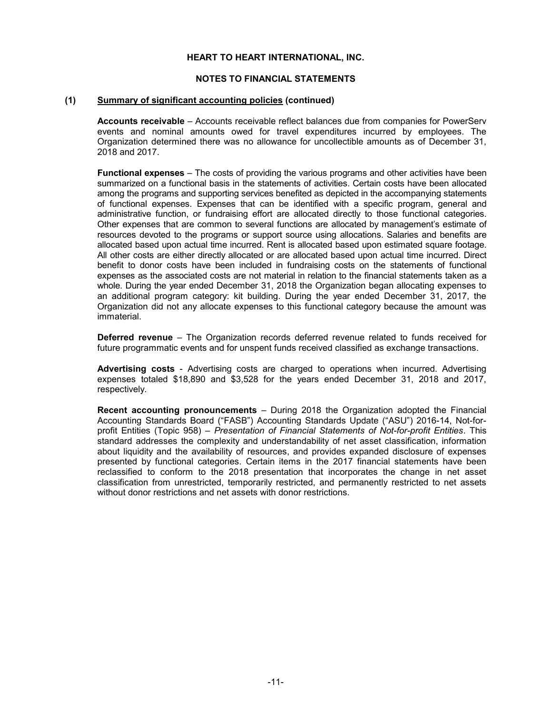#### NOTES TO FINANCIAL STATEMENTS

#### (1) Summary of significant accounting policies (continued)

Accounts receivable – Accounts receivable reflect balances due from companies for PowerServ events and nominal amounts owed for travel expenditures incurred by employees. The Organization determined there was no allowance for uncollectible amounts as of December 31, 2018 and 2017.

Functional expenses – The costs of providing the various programs and other activities have been summarized on a functional basis in the statements of activities. Certain costs have been allocated among the programs and supporting services benefited as depicted in the accompanying statements of functional expenses. Expenses that can be identified with a specific program, general and administrative function, or fundraising effort are allocated directly to those functional categories. Other expenses that are common to several functions are allocated by management's estimate of resources devoted to the programs or support source using allocations. Salaries and benefits are allocated based upon actual time incurred. Rent is allocated based upon estimated square footage. All other costs are either directly allocated or are allocated based upon actual time incurred. Direct benefit to donor costs have been included in fundraising costs on the statements of functional expenses as the associated costs are not material in relation to the financial statements taken as a whole. During the year ended December 31, 2018 the Organization began allocating expenses to an additional program category: kit building. During the year ended December 31, 2017, the Organization did not any allocate expenses to this functional category because the amount was immaterial.

Deferred revenue – The Organization records deferred revenue related to funds received for future programmatic events and for unspent funds received classified as exchange transactions.

Advertising costs - Advertising costs are charged to operations when incurred. Advertising expenses totaled \$18,890 and \$3,528 for the years ended December 31, 2018 and 2017, respectively.

Recent accounting pronouncements – During 2018 the Organization adopted the Financial Accounting Standards Board ("FASB") Accounting Standards Update ("ASU") 2016-14, Not-forprofit Entities (Topic 958) - Presentation of Financial Statements of Not-for-profit Entities. This standard addresses the complexity and understandability of net asset classification, information about liquidity and the availability of resources, and provides expanded disclosure of expenses presented by functional categories. Certain items in the 2017 financial statements have been reclassified to conform to the 2018 presentation that incorporates the change in net asset classification from unrestricted, temporarily restricted, and permanently restricted to net assets without donor restrictions and net assets with donor restrictions.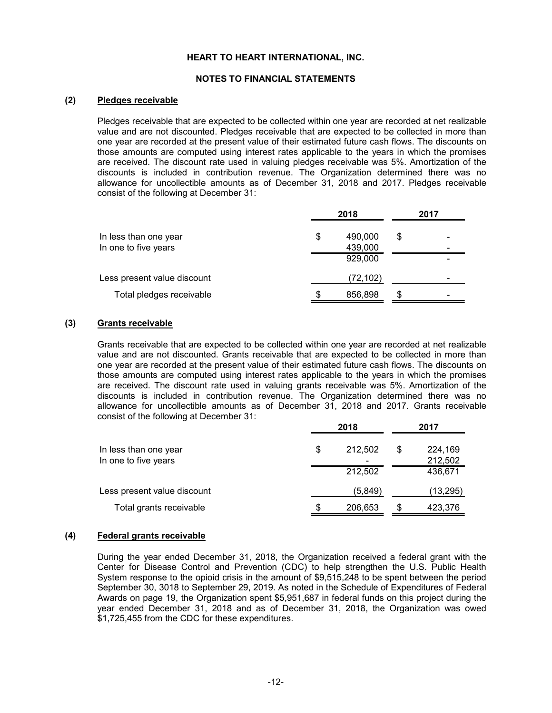#### NOTES TO FINANCIAL STATEMENTS

#### (2) Pledges receivable

Pledges receivable that are expected to be collected within one year are recorded at net realizable value and are not discounted. Pledges receivable that are expected to be collected in more than one year are recorded at the present value of their estimated future cash flows. The discounts on those amounts are computed using interest rates applicable to the years in which the promises are received. The discount rate used in valuing pledges receivable was 5%. Amortization of the discounts is included in contribution revenue. The Organization determined there was no allowance for uncollectible amounts as of December 31, 2018 and 2017. Pledges receivable consist of the following at December 31:

| 2018      | 2017 |                          |
|-----------|------|--------------------------|
| 490,000   |      | $\blacksquare$           |
| 439,000   |      | $\overline{\phantom{0}}$ |
| 929,000   |      | ۰                        |
| (72, 102) |      | ۰                        |
| 856,898   |      | $\overline{\phantom{0}}$ |
|           |      | \$                       |

#### (3) Grants receivable

Grants receivable that are expected to be collected within one year are recorded at net realizable value and are not discounted. Grants receivable that are expected to be collected in more than one year are recorded at the present value of their estimated future cash flows. The discounts on those amounts are computed using interest rates applicable to the years in which the promises are received. The discount rate used in valuing grants receivable was 5%. Amortization of the discounts is included in contribution revenue. The Organization determined there was no allowance for uncollectible amounts as of December 31, 2018 and 2017. Grants receivable consist of the following at December 31:

|                             | 2018           | 2017      |
|-----------------------------|----------------|-----------|
| In less than one year       | \$<br>212,502  | 224,169   |
| In one to five years        | $\blacksquare$ | 212,502   |
|                             | 212,502        | 436,671   |
| Less present value discount | (5,849)        | (13, 295) |
| Total grants receivable     | 206,653        | 423,376   |

#### (4) Federal grants receivable

During the year ended December 31, 2018, the Organization received a federal grant with the Center for Disease Control and Prevention (CDC) to help strengthen the U.S. Public Health System response to the opioid crisis in the amount of \$9,515,248 to be spent between the period September 30, 3018 to September 29, 2019. As noted in the Schedule of Expenditures of Federal Awards on page 19, the Organization spent \$5,951,687 in federal funds on this project during the year ended December 31, 2018 and as of December 31, 2018, the Organization was owed  $$1,725,455$  from the CDC for these expenditures.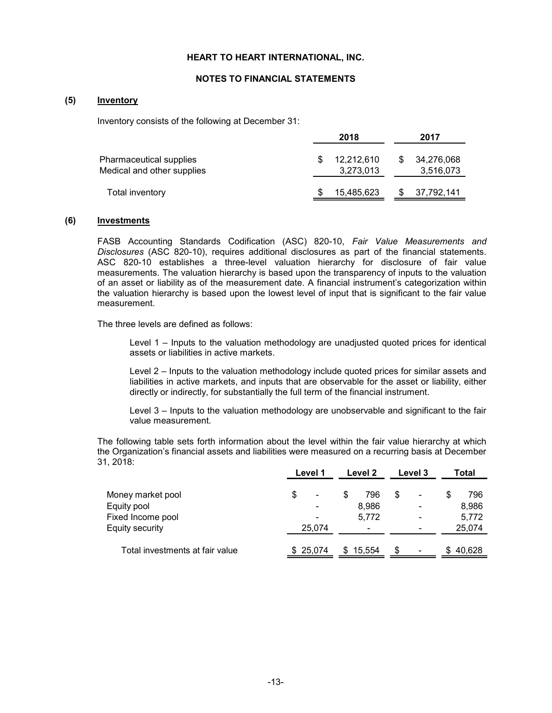#### NOTES TO FINANCIAL STATEMENTS

### (5) Inventory

Inventory consists of the following at December 31:

| 2018       | 2017       |
|------------|------------|
| 12,212,610 | 34,276,068 |
| 3,273,013  | 3,516,073  |
| 15,485,623 | 37,792,141 |
|            |            |

#### (6) Investments

FASB Accounting Standards Codification (ASC) 820-10, Fair Value Measurements and Disclosures (ASC 820-10), requires additional disclosures as part of the financial statements. ASC 820-10 establishes a three-level valuation hierarchy for disclosure of fair value measurements. The valuation hierarchy is based upon the transparency of inputs to the valuation of an asset or liability as of the measurement date. A financial instrument's categorization within the valuation hierarchy is based upon the lowest level of input that is significant to the fair value measurement.

| SC 820-10 establishes a three-level valuation hierarchy for disclosure of fair value<br>easurements. The valuation hierarchy is based upon the transparency of inputs to the valuation<br>an asset or liability as of the measurement date. A financial instrument's categorization within<br>e valuation hierarchy is based upon the lowest level of input that is significant to the fair value<br>∣easurement. |         |                             |         |                       |  |
|-------------------------------------------------------------------------------------------------------------------------------------------------------------------------------------------------------------------------------------------------------------------------------------------------------------------------------------------------------------------------------------------------------------------|---------|-----------------------------|---------|-----------------------|--|
| he three levels are defined as follows:                                                                                                                                                                                                                                                                                                                                                                           |         |                             |         |                       |  |
| Level 1 – Inputs to the valuation methodology are unadjusted quoted prices for identical<br>assets or liabilities in active markets.                                                                                                                                                                                                                                                                              |         |                             |         |                       |  |
| Level 2 – Inputs to the valuation methodology include quoted prices for similar assets and<br>liabilities in active markets, and inputs that are observable for the asset or liability, either<br>directly or indirectly, for substantially the full term of the financial instrument.                                                                                                                            |         |                             |         |                       |  |
| Level 3 - Inputs to the valuation methodology are unobservable and significant to the fair<br>value measurement.                                                                                                                                                                                                                                                                                                  |         |                             |         |                       |  |
| he following table sets forth information about the level within the fair value hierarchy at which<br>e Organization's financial assets and liabilities were measured on a recurring basis at December<br>1, 2018:                                                                                                                                                                                                |         |                             |         |                       |  |
|                                                                                                                                                                                                                                                                                                                                                                                                                   | Level 1 | Level 2                     | Level 3 | Total                 |  |
| Money market pool<br>Equity pool<br>Fixed Income pool                                                                                                                                                                                                                                                                                                                                                             | \$      | 796<br>\$<br>8,986<br>5,772 | \$      | 796<br>8,986<br>5,772 |  |
| Equity security                                                                                                                                                                                                                                                                                                                                                                                                   | 25,074  |                             |         | 25,074                |  |
| Total investments at fair value                                                                                                                                                                                                                                                                                                                                                                                   | 25,074  | \$15,554                    |         | 40,628                |  |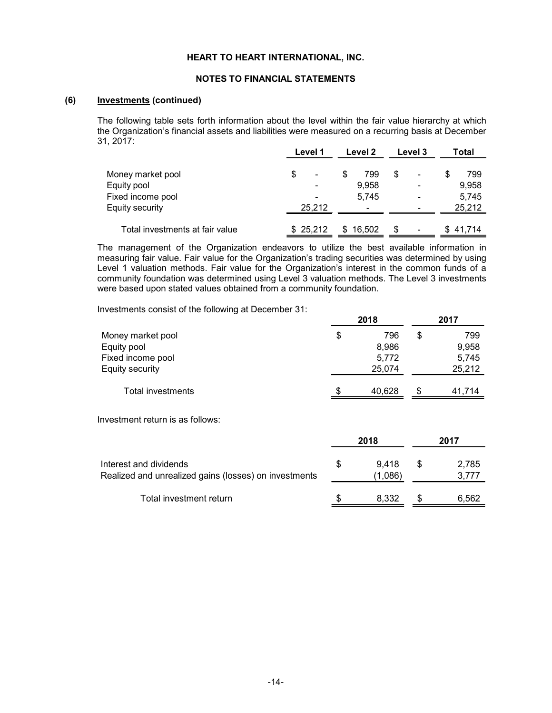#### NOTES TO FINANCIAL STATEMENTS

#### (6) Investments (continued)

|                                                                                                                                                                                                        | HEART TO HEART INTERNATIONAL, INC.   |                    |         |              |
|--------------------------------------------------------------------------------------------------------------------------------------------------------------------------------------------------------|--------------------------------------|--------------------|---------|--------------|
|                                                                                                                                                                                                        | <b>NOTES TO FINANCIAL STATEMENTS</b> |                    |         |              |
| vestments (continued)                                                                                                                                                                                  |                                      |                    |         |              |
|                                                                                                                                                                                                        |                                      |                    |         |              |
| ne following table sets forth information about the level within the fair value hierarchy at which<br>e Organization's financial assets and liabilities were measured on a recurring basis at December |                                      |                    |         |              |
| , 2017:                                                                                                                                                                                                | Level 1                              | Level <sub>2</sub> | Level 3 | <b>Total</b> |
|                                                                                                                                                                                                        | \$                                   | 799<br>\$          | S       | 799<br>\$    |
|                                                                                                                                                                                                        |                                      | 9,958              |         | 9,958        |
| Money market pool<br>Equity pool<br>Fixed income pool                                                                                                                                                  |                                      | 5,745              |         | 5,745        |
| <b>Equity security</b>                                                                                                                                                                                 | 25,212                               |                    |         | 25,212       |

The management of the Organization endeavors to utilize the best available information in measuring fair value. Fair value for the Organization's trading securities was determined by using Level 1 valuation methods. Fair value for the Organization's interest in the common funds of a community foundation was determined using Level 3 valuation methods. The Level 3 investments were based upon stated values obtained from a community foundation.

Investments consist of the following at December 31:

|    | 2018   | 2017 |        |  |
|----|--------|------|--------|--|
| Œ  | 796    | \$   | 799    |  |
|    | 8,986  |      | 9,958  |  |
|    | 5,772  |      | 5,745  |  |
|    | 25,074 |      | 25,212 |  |
| ъĐ | 40,628 | \$   | 41,714 |  |
|    |        |      |        |  |

Investment return is as follows:

|                                                                                 | 2018           | 2017           |
|---------------------------------------------------------------------------------|----------------|----------------|
| Interest and dividends<br>Realized and unrealized gains (losses) on investments | 9.418<br>(086) | 2,785<br>3.777 |
| Total investment return                                                         | 8,332          | 6,562          |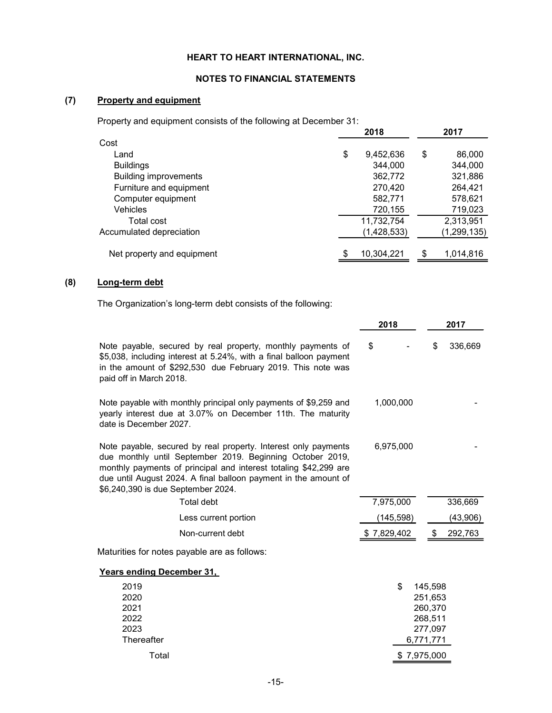## NOTES TO FINANCIAL STATEMENTS

# (7) Property and equipment

| Property and equipment consists of the following at December 31:                                                                                                                                                            |             |      |               |
|-----------------------------------------------------------------------------------------------------------------------------------------------------------------------------------------------------------------------------|-------------|------|---------------|
|                                                                                                                                                                                                                             | 2018        |      | 2017          |
| Cost                                                                                                                                                                                                                        |             |      |               |
| \$<br>Land                                                                                                                                                                                                                  | 9,452,636   | \$   | 86,000        |
| <b>Buildings</b>                                                                                                                                                                                                            | 344,000     |      | 344,000       |
| <b>Building improvements</b>                                                                                                                                                                                                | 362,772     |      | 321,886       |
| Furniture and equipment                                                                                                                                                                                                     | 270,420     |      | 264,421       |
| Computer equipment                                                                                                                                                                                                          | 582,771     |      | 578,621       |
| Vehicles                                                                                                                                                                                                                    | 720,155     |      | 719,023       |
| Total cost                                                                                                                                                                                                                  | 11,732,754  |      | 2,313,951     |
| Accumulated depreciation                                                                                                                                                                                                    | (1,428,533) |      | (1, 299, 135) |
| Net property and equipment                                                                                                                                                                                                  | 10,304,221  | - \$ | 1,014,816     |
| Long-term debt<br>The Organization's long-term debt consists of the following:                                                                                                                                              |             |      |               |
|                                                                                                                                                                                                                             | 2018        |      | 2017          |
| Note payable, secured by real property, monthly payments of<br>\$5,038, including interest at 5.24%, with a final balloon payment<br>in the amount of \$292,530 due February 2019. This note was<br>paid off in March 2018. | \$          | \$   | 336,669       |
| Note payable with monthly principal only payments of \$9,259 and<br>yearly interest due at 3.07% on December 11th. The maturity<br>date is December 2027                                                                    | 1,000,000   |      |               |

# (8) Long-term debt

| Dunun iyo                                                                                                                                                                                                                                                                                                | 577,000     | <del>011</del> ,000 |
|----------------------------------------------------------------------------------------------------------------------------------------------------------------------------------------------------------------------------------------------------------------------------------------------------------|-------------|---------------------|
| <b>Building improvements</b>                                                                                                                                                                                                                                                                             | 362,772     | 321,886             |
| Furniture and equipment                                                                                                                                                                                                                                                                                  | 270,420     | 264,421             |
| Computer equipment                                                                                                                                                                                                                                                                                       | 582,771     | 578,621             |
| Vehicles                                                                                                                                                                                                                                                                                                 | 720,155     | 719,023             |
| Total cost                                                                                                                                                                                                                                                                                               | 11,732,754  | 2,313,951           |
| Accumulated depreciation                                                                                                                                                                                                                                                                                 | (1,428,533) | (1, 299, 135)       |
| Net property and equipment                                                                                                                                                                                                                                                                               | 10,304,221  | 1,014,816<br>\$     |
| Long-term debt                                                                                                                                                                                                                                                                                           |             |                     |
| The Organization's long-term debt consists of the following:                                                                                                                                                                                                                                             |             |                     |
|                                                                                                                                                                                                                                                                                                          | 2018        | 2017                |
| Note payable, secured by real property, monthly payments of<br>\$5,038, including interest at 5.24%, with a final balloon payment<br>in the amount of \$292,530 due February 2019. This note was<br>paid off in March 2018.                                                                              | \$.         | 336,669<br>\$       |
| Note payable with monthly principal only payments of \$9,259 and<br>yearly interest due at 3.07% on December 11th. The maturity<br>date is December 2027.                                                                                                                                                | 1,000,000   |                     |
| Note payable, secured by real property. Interest only payments<br>due monthly until September 2019. Beginning October 2019,<br>monthly payments of principal and interest totaling \$42,299 are<br>due until August 2024. A final balloon payment in the amount of<br>\$6,240,390 is due September 2024. | 6,975,000   |                     |
| Total debt                                                                                                                                                                                                                                                                                               | 7,975,000   | 336,669             |
| Less current portion                                                                                                                                                                                                                                                                                     | (145, 598)  | (43,906)            |
| Non-current debt                                                                                                                                                                                                                                                                                         | \$7,829,402 | \$<br>292,763       |
| Maturities for notes payable are as follows:                                                                                                                                                                                                                                                             |             |                     |
| <b>Years ending December 31,</b>                                                                                                                                                                                                                                                                         |             |                     |
| 2019                                                                                                                                                                                                                                                                                                     | \$          | 145,598             |
| 2020                                                                                                                                                                                                                                                                                                     |             | 251,653             |
| 2021                                                                                                                                                                                                                                                                                                     |             | 260,370             |
| 2022                                                                                                                                                                                                                                                                                                     |             | 268,511             |
| 2023                                                                                                                                                                                                                                                                                                     |             | 277,097             |
| Thereafter                                                                                                                                                                                                                                                                                               |             | 6,771,771           |
| Total                                                                                                                                                                                                                                                                                                    |             | \$7,975,000         |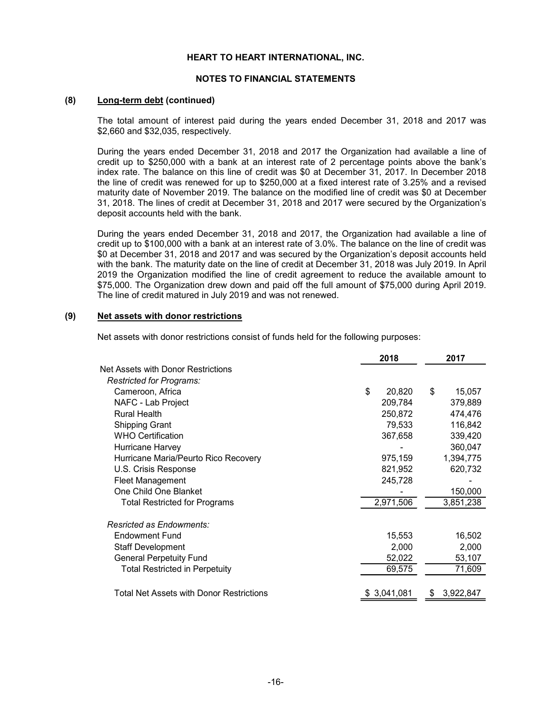#### NOTES TO FINANCIAL STATEMENTS

#### (8) Long-term debt (continued)

The total amount of interest paid during the years ended December 31, 2018 and 2017 was \$2,660 and \$32,035, respectively.

During the years ended December 31, 2018 and 2017 the Organization had available a line of credit up to \$250,000 with a bank at an interest rate of 2 percentage points above the bank's index rate. The balance on this line of credit was \$0 at December 31, 2017. In December 2018 the line of credit was renewed for up to \$250,000 at a fixed interest rate of 3.25% and a revised maturity date of November 2019. The balance on the modified line of credit was \$0 at December 31, 2018. The lines of credit at December 31, 2018 and 2017 were secured by the Organization's deposit accounts held with the bank.

During the years ended December 31, 2018 and 2017, the Organization had available a line of credit up to \$100,000 with a bank at an interest rate of 3.0%. The balance on the line of credit was \$0 at December 31, 2018 and 2017 and was secured by the Organization's deposit accounts held with the bank. The maturity date on the line of credit at December 31, 2018 was July 2019. In April 2019 the Organization modified the line of credit agreement to reduce the available amount to \$75,000. The Organization drew down and paid off the full amount of \$75,000 during April 2019. The line of credit matured in July 2019 and was not renewed.

#### (9) Net assets with donor restrictions

Net assets with donor restrictions consist of funds held for the following purposes:

|                                                 | 2018         | 2017         |
|-------------------------------------------------|--------------|--------------|
| Net Assets with Donor Restrictions              |              |              |
| Restricted for Programs:                        |              |              |
| Cameroon, Africa                                | \$<br>20,820 | \$<br>15,057 |
| NAFC - Lab Project                              | 209,784      | 379,889      |
| <b>Rural Health</b>                             | 250,872      | 474,476      |
| Shipping Grant                                  | 79,533       | 116,842      |
| <b>WHO Certification</b>                        | 367,658      | 339,420      |
| Hurricane Harvey                                |              | 360,047      |
| Hurricane Maria/Peurto Rico Recovery            | 975,159      | 1,394,775    |
| U.S. Crisis Response                            | 821,952      | 620,732      |
| <b>Fleet Management</b>                         | 245,728      |              |
| One Child One Blanket                           |              | 150,000      |
| <b>Total Restricted for Programs</b>            | 2,971,506    | 3,851,238    |
| Resricted as Endowments:                        |              |              |
| <b>Endowment Fund</b>                           | 15,553       | 16,502       |
| <b>Staff Development</b>                        | 2,000        | 2,000        |
| <b>General Perpetuity Fund</b>                  | 52,022       | 53,107       |
| <b>Total Restricted in Perpetuity</b>           | 69,575       | 71,609       |
| <b>Total Net Assets with Donor Restrictions</b> | \$3,041,081  | 3,922,847    |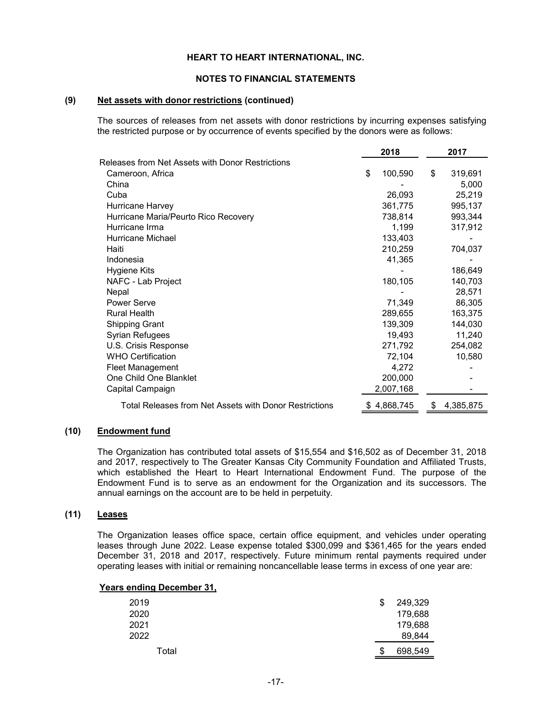#### NOTES TO FINANCIAL STATEMENTS

#### (9) Net assets with donor restrictions (continued)

The sources of releases from net assets with donor restrictions by incurring expenses satisfying the restricted purpose or by occurrence of events specified by the donors were as follows:

|                                                        | 2018          |    | 2017      |
|--------------------------------------------------------|---------------|----|-----------|
| Releases from Net Assets with Donor Restrictions       |               |    |           |
| Cameroon, Africa                                       | \$<br>100,590 | \$ | 319,691   |
| China                                                  |               |    | 5,000     |
| Cuba                                                   | 26,093        |    | 25,219    |
| Hurricane Harvey                                       | 361,775       |    | 995,137   |
| Hurricane Maria/Peurto Rico Recovery                   | 738,814       |    | 993,344   |
| Hurricane Irma                                         | 1,199         |    | 317,912   |
| Hurricane Michael                                      | 133,403       |    |           |
| Haiti                                                  | 210,259       |    | 704,037   |
| Indonesia                                              | 41,365        |    |           |
| Hygiene Kits                                           |               |    | 186,649   |
| NAFC - Lab Project                                     | 180,105       |    | 140,703   |
| Nepal                                                  |               |    | 28,571    |
| <b>Power Serve</b>                                     | 71,349        |    | 86,305    |
| <b>Rural Health</b>                                    | 289,655       |    | 163,375   |
| <b>Shipping Grant</b>                                  | 139,309       |    | 144,030   |
| <b>Syrian Refugees</b>                                 | 19,493        |    | 11,240    |
| U.S. Crisis Response                                   | 271,792       |    | 254,082   |
| <b>WHO Certification</b>                               | 72,104        |    | 10,580    |
| Fleet Management                                       | 4,272         |    |           |
| One Child One Blanklet                                 | 200,000       |    |           |
| Capital Campaign                                       | 2,007,168     |    |           |
| Total Releases from Net Assets with Donor Restrictions | \$4,868,745   | S. | 4,385,875 |

### (10) Endowment fund

The Organization has contributed total assets of \$15,554 and \$16,502 as of December 31, 2018 and 2017, respectively to The Greater Kansas City Community Foundation and Affiliated Trusts, which established the Heart to Heart International Endowment Fund. The purpose of the Endowment Fund is to serve as an endowment for the Organization and its successors. The annual earnings on the account are to be held in perpetuity.

#### (11) Leases

The Organization leases office space, certain office equipment, and vehicles under operating leases through June 2022. Lease expense totaled \$300,099 and \$361,465 for the years ended December 31, 2018 and 2017, respectively. Future minimum rental payments required under operating leases with initial or remaining noncancellable lease terms in excess of one year are:

| 2019  | 249,329<br>\$ |
|-------|---------------|
| 2020  | 179,688       |
| 2021  | 179,688       |
| 2022  | 89,844        |
| Total | 698,549       |

## Years ending December 31,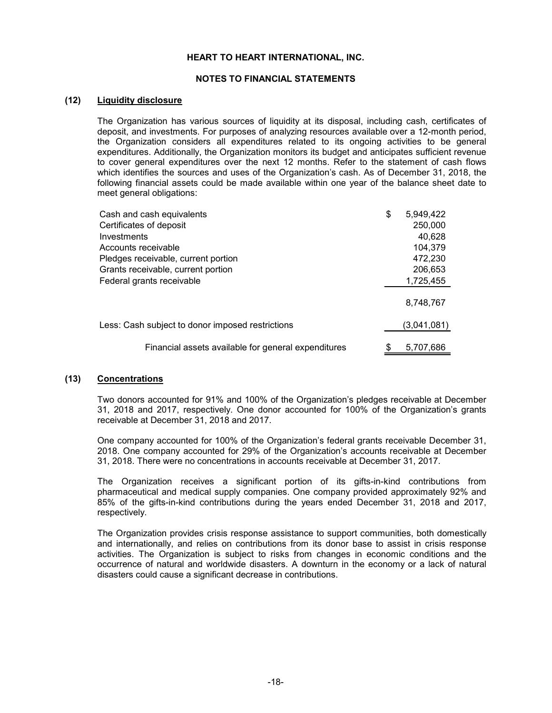### NOTES TO FINANCIAL STATEMENTS

### (12) Liquidity disclosure

The Organization has various sources of liquidity at its disposal, including cash, certificates of deposit, and investments. For purposes of analyzing resources available over a 12-month period, the Organization considers all expenditures related to its ongoing activities to be general expenditures. Additionally, the Organization monitors its budget and anticipates sufficient revenue to cover general expenditures over the next 12 months. Refer to the statement of cash flows which identifies the sources and uses of the Organization's cash. As of December 31, 2018, the following financial assets could be made available within one year of the balance sheet date to meet general obligations: HEART TO HEART INTERNATIONAL, INC.<br> **NOTES TO FINANCIAL STATEMENTS**<br> **CALC**<br> **CASH And investments.** For purposes of liquidity at its disposal, including cash, certificates of<br>
the Organization considers all expenditions r

| Cash and cash equivalents                           | \$<br>5,949,422 |  |
|-----------------------------------------------------|-----------------|--|
| Certificates of deposit                             | 250,000         |  |
| Investments                                         | 40.628          |  |
| Accounts receivable                                 | 104,379         |  |
| Pledges receivable, current portion                 | 472.230         |  |
| Grants receivable, current portion                  | 206,653         |  |
| Federal grants receivable                           | 1,725,455       |  |
|                                                     | 8,748,767       |  |
| Less: Cash subject to donor imposed restrictions    | (3,041,081)     |  |
| Financial assets available for general expenditures | 5,707,686       |  |

### (13) Concentrations

Two donors accounted for 91% and 100% of the Organization's pledges receivable at December 31, 2018 and 2017, respectively. One donor accounted for 100% of the Organization's grants receivable at December 31, 2018 and 2017.

One company accounted for 100% of the Organization's federal grants receivable December 31, 2018. One company accounted for 29% of the Organization's accounts receivable at December 31, 2018. There were no concentrations in accounts receivable at December 31, 2017.

The Organization receives a significant portion of its gifts-in-kind contributions from pharmaceutical and medical supply companies. One company provided approximately 92% and 85% of the gifts-in-kind contributions during the years ended December 31, 2018 and 2017, respectively.

The Organization provides crisis response assistance to support communities, both domestically and internationally, and relies on contributions from its donor base to assist in crisis response activities. The Organization is subject to risks from changes in economic conditions and the occurrence of natural and worldwide disasters. A downturn in the economy or a lack of natural disasters could cause a significant decrease in contributions.